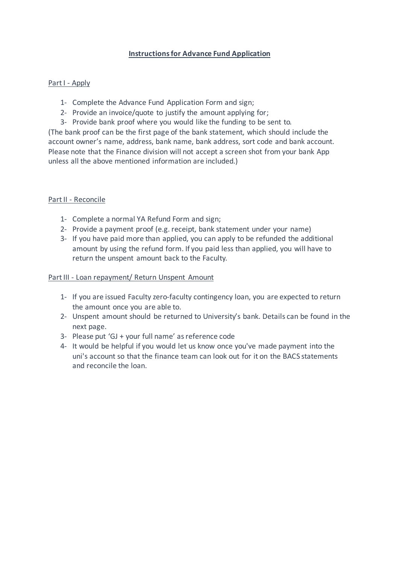# **Instructions for Advance Fund Application**

## Part I - Apply

- 1- Complete the Advance Fund Application Form and sign;
- 2- Provide an invoice/quote to justify the amount applying for;
- 3- Provide bank proof where you would like the funding to be sent to.

(The bank proof can be the first page of the bank statement, which should include the account owner's name, address, bank name, bank address, sort code and bank account. Please note that the Finance division will not accept a screen shot from your bank App unless all the above mentioned information are included.)

### Part II - Reconcile

- 1- Complete a normal YA Refund Form and sign;
- 2- Provide a payment proof (e.g. receipt, bank statement under your name)
- 3- If you have paid more than applied, you can apply to be refunded the additional amount by using the refund form. If you paid less than applied, you will have to return the unspent amount back to the Faculty.

#### Part III - Loan repayment/ Return Unspent Amount

- 1- If you are issued Faculty zero-faculty contingency loan, you are expected to return the amount once you are able to.
- 2- Unspent amount should be returned to University's bank. Details can be found in the next page.
- 3- Please put 'GJ + your full name' as reference code
- 4- It would be helpful if you would let us know once you've made payment into the uni's account so that the finance team can look out for it on the BACS statements and reconcile the loan.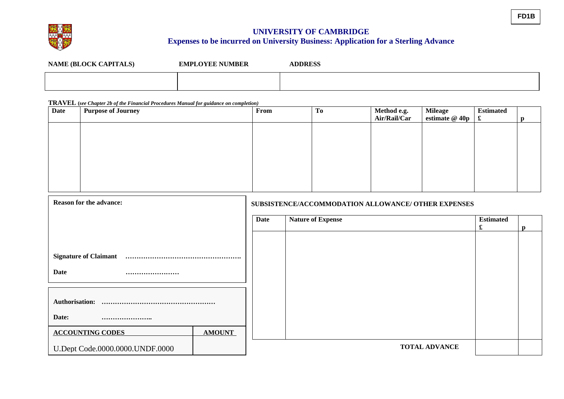

## **UNIVERSITY OF CAMBRIDGE Expenses to be incurred on University Business: Application for a Sterling Advance**

| <b>NAME (BLOCK CAPITALS)</b> | <b>EMPLOYEE NUMBER</b> | <b>ADDRESS</b> |
|------------------------------|------------------------|----------------|
|                              |                        |                |

#### **TRAVEL (***see Chapter 2b of the Financial Procedures Manual for guidance on completion)*

| <b>Date</b>                     | <u>-  -</u><br><b>Purpose of Journey</b> |               | From                     |                                                     | <b>To</b> | Method e.g.<br>Air/Rail/Car | <b>Mileage</b><br>estimate @ 40p | <b>Estimated</b><br>$\pmb{\mathfrak{L}}$ | $\mathbf{p}$ |
|---------------------------------|------------------------------------------|---------------|--------------------------|-----------------------------------------------------|-----------|-----------------------------|----------------------------------|------------------------------------------|--------------|
|                                 |                                          |               |                          |                                                     |           |                             |                                  |                                          |              |
|                                 |                                          |               |                          |                                                     |           |                             |                                  |                                          |              |
|                                 |                                          |               |                          |                                                     |           |                             |                                  |                                          |              |
|                                 |                                          |               |                          |                                                     |           |                             |                                  |                                          |              |
|                                 |                                          |               |                          |                                                     |           |                             |                                  |                                          |              |
|                                 |                                          |               |                          |                                                     |           |                             |                                  |                                          |              |
| <b>Reason for the advance:</b>  |                                          |               |                          | SUBSISTENCE/ACCOMMODATION ALLOWANCE/ OTHER EXPENSES |           |                             |                                  |                                          |              |
|                                 |                                          | <b>Date</b>   | <b>Nature of Expense</b> |                                                     |           |                             | <b>Estimated</b><br>£            | $\mathbf{p}$                             |              |
|                                 |                                          |               |                          |                                                     |           |                             |                                  |                                          |              |
|                                 |                                          |               |                          |                                                     |           |                             |                                  |                                          |              |
| <b>Date</b><br>                 |                                          |               |                          |                                                     |           |                             |                                  |                                          |              |
|                                 |                                          |               |                          |                                                     |           |                             |                                  |                                          |              |
| Authorisation:                  |                                          |               |                          |                                                     |           |                             |                                  |                                          |              |
| Date:<br>                       |                                          |               |                          |                                                     |           |                             |                                  |                                          |              |
|                                 | <b>ACCOUNTING CODES</b>                  | <b>AMOUNT</b> |                          |                                                     |           |                             |                                  |                                          |              |
| U.Dept Code.0000.0000.UNDF.0000 |                                          |               |                          |                                                     |           | <b>TOTAL ADVANCE</b>        |                                  |                                          |              |

**FD1B**